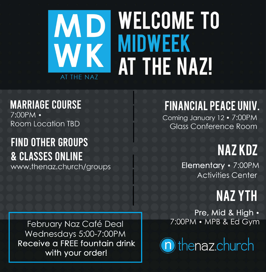# WELCOME TO **MIDWEEK AT THE NAZU**

AT THE NAZ

### **MARRIAGE COURSE** 7:00PM •

Room Location TBD

## FINANCIAL PEACE UNIV. Coming January 12 . 7:00PM Glass Conference Room

# FIND OTHER GROUPS & CLASSES ONLINE www.thenaz.church/groups

Elementary · 7:00PM Activities Center



NAZ KDZ

#### February Naz Café Deal Wednesdays 5:00-7:00PM Receive a FREE fountain drink with your order!

Pre, Mid & High . 7:00PM • MPB & Ed Gym